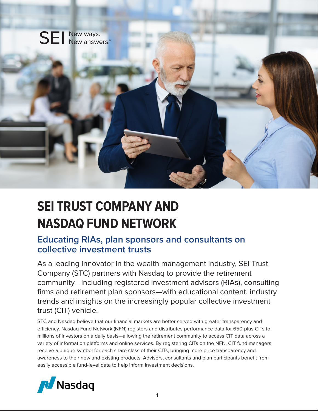

# **SEI TRUST COMPANY AND NASDAQ FUND NETWORK**

# **Educating RIAs, plan sponsors and consultants on collective investment trusts**

As a leading innovator in the wealth management industry, SEI Trust Company (STC) partners with Nasdaq to provide the retirement community—including registered investment advisors (RIAs), consulting firms and retirement plan sponsors—with educational content, industry trends and insights on the increasingly popular collective investment trust (CIT) vehicle.

STC and Nasdaq believe that our financial markets are better served with greater transparency and efficiency. Nasdaq Fund Network (NFN) registers and distributes performance data for 650-plus CITs to millions of investors on a daily basis—allowing the retirement community to access CIT data across a variety of information platforms and online services. By registering CITs on the NFN, CIT fund managers receive a unique symbol for each share class of their CITs, bringing more price transparency and awareness to their new and existing products. Advisors, consultants and plan participants benefit from easily accessible fund-level data to help inform investment decisions.

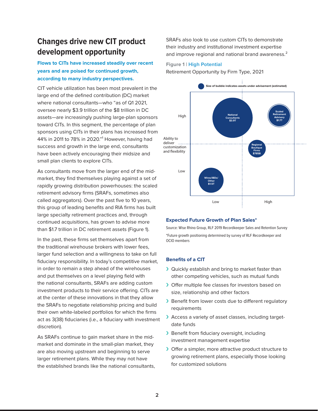# **Changes drive new CIT product development opportunity**

### **Flows to CITs have increased steadily over recent years and are poised for continued growth, according to many industry perspectives.**

CIT vehicle utilization has been most prevalent in the large end of the defined contribution (DC) market where national consultants—who "as of Q1 2021, oversee nearly \$3.9 trillion of the \$8 trillion in DC assets—are increasingly pushing large-plan sponsors toward CITs. In this segment, the percentage of plan sponsors using CITs in their plans has increased from 44% in 2011 to 78% in 2020."<sup>1</sup> However, having had success and growth in the large end, consultants have been actively encouraging their midsize and small plan clients to explore CITs.

As consultants move from the larger end of the midmarket, they find themselves playing against a set of rapidly growing distribution powerhouses: the scaled retirement advisory firms (SRAFs, sometimes also called aggregators). Over the past five to 10 years, this group of leading benefits and RIA firms has built large specialty retirement practices and, through continued acquisitions, has grown to advise more than \$1.7 trillion in DC retirement assets (Figure 1).

In the past, these firms set themselves apart from the traditional wirehouse brokers with lower fees, larger fund selection and a willingness to take on full fiduciary responsibility. In today's competitive market, in order to remain a step ahead of the wirehouses and put themselves on a level playing field with the national consultants, SRAFs are adding custom investment products to their service offering. CITs are at the center of these innovations in that they allow the SRAFs to negotiate relationship pricing and build their own white-labeled portfolios for which the firms act as 3(38) fiduciaries (i.e., a fiduciary with investment discretion).

As SRAFs continue to gain market share in the midmarket and dominate in the small-plan market, they are also moving upstream and beginning to serve larger retirement plans. While they may not have the established brands like the national consultants,

SRAFs also look to use custom CITs to demonstrate their industry and institutional investment expertise and improve regional and national brand awareness.<sup>2</sup>

#### **Figure 1 | High Potential**

Retirement Opportunity by Firm Type, 2021



#### **Expected Future Growth of Plan Sales\***

Source: Wise Rhino Group, RLF 2019 Recordkeeper Sales and Retention Survey \*Future growth positioning determined by survey of RLF Recordkeeper and OCIO members

#### **Benefits of a CIT**

- › Quickly establish and bring to market faster than other competing vehicles, such as mutual funds
- › Offer multiple fee classes for investors based on size, relationship and other factors
- > Benefit from lower costs due to different regulatory requirements
- > Access a variety of asset classes, including targetdate funds
- › Benefit from fiduciary oversight, including investment management expertise
- › Offer a simpler, more attractive product structure to growing retirement plans, especially those looking for customized solutions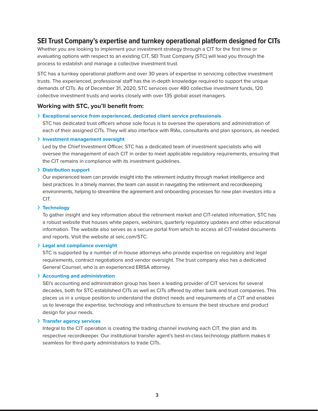### **SEI Trust Company's expertise and turnkey operational platform designed for CITs**

Whether you are looking to implement your investment strategy through a CIT for the first time or evaluating options with respect to an existing CIT, SEI Trust Company (STC) will lead you through the process to establish and manage a collective investment trust.

STC has a turnkey operational platform and over 30 years of expertise in servicing collective investment trusts. The experienced, professional staff has the in-depth knowledge required to support the unique demands of CITs. As of December 31, 2020, STC services over 480 collective investment funds, 120 collective investment trusts and works closely with over 135 global asset managers.

#### **Working with STC, you'll benefit from:**

#### › **Exceptional service from experienced, dedicated client service professionals**

STC has dedicated trust officers whose sole focus is to oversee the operations and administration of each of their assigned CITs. They will also interface with RIAs, consultants and plan sponsors, as needed.

#### › **Investment management oversight**

Led by the Chief Investment Officer, STC has a dedicated team of investment specialists who will oversee the management of each CIT in order to meet applicable regulatory requirements, ensuring that the CIT remains in compliance with its investment guidelines.

#### › **Distribution support**

Our experienced team can provide insight into the retirement industry through market intelligence and best practices. In a timely manner, the team can assist in navigating the retirement and recordkeeping environments, helping to streamline the agreement and onboarding processes for new plan investors into a CIT.

#### › **Technology**

To gather insight and key information about the retirement market and CIT-related information, STC has a robust website that houses white papers, webinars, quarterly regulatory updates and other educational information. The website also serves as a secure portal from which to access all CIT-related documents and reports. Visit the website at [seic.com/STC](http://seic.com/STC).

#### › **Legal and compliance oversight**

STC is supported by a number of in-house attorneys who provide expertise on regulatory and legal requirements, contract negotiations and vendor oversight. The trust company also has a dedicated General Counsel, who is an experienced ERISA attorney.

#### › **Accounting and administration**

SEI's accounting and administration group has been a leading provider of CIT services for several decades, both for STC-established CITs as well as CITs offered by other bank and trust companies. This places us in a unique position to understand the distinct needs and requirements of a CIT and enables us to leverage the expertise, technology and infrastructure to ensure the best structure and product design for your needs.

#### › **Transfer agency services**

Integral to the CIT operation is creating the trading channel involving each CIT, the plan and its respective recordkeeper. Our institutional transfer agent's best-in-class technology platform makes it seamless for third-party administrators to trade CITs.